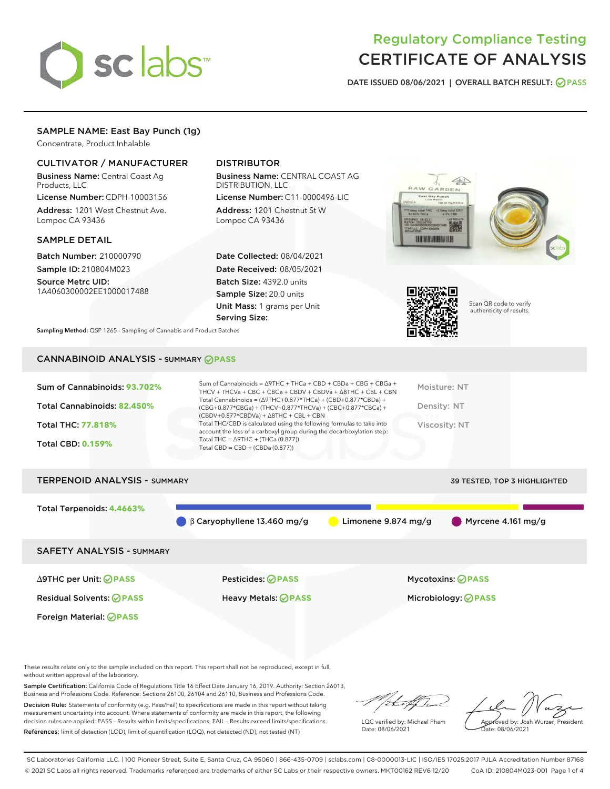

# Regulatory Compliance Testing CERTIFICATE OF ANALYSIS

DATE ISSUED 08/06/2021 | OVERALL BATCH RESULT: @ PASS

# SAMPLE NAME: East Bay Punch (1g)

Concentrate, Product Inhalable

# CULTIVATOR / MANUFACTURER

Business Name: Central Coast Ag Products, LLC

License Number: CDPH-10003156 Address: 1201 West Chestnut Ave. Lompoc CA 93436

#### SAMPLE DETAIL

Batch Number: 210000790 Sample ID: 210804M023

Source Metrc UID: 1A4060300002EE1000017488

# DISTRIBUTOR

Business Name: CENTRAL COAST AG DISTRIBUTION, LLC

License Number: C11-0000496-LIC Address: 1201 Chestnut St W Lompoc CA 93436

Date Collected: 08/04/2021 Date Received: 08/05/2021 Batch Size: 4392.0 units Sample Size: 20.0 units Unit Mass: 1 grams per Unit Serving Size:





Scan QR code to verify authenticity of results.

Sampling Method: QSP 1265 - Sampling of Cannabis and Product Batches

# CANNABINOID ANALYSIS - SUMMARY **PASS**

| Total Cannabinoids = $(\Delta$ 9THC+0.877*THCa) + (CBD+0.877*CBDa) +<br>Total Cannabinoids: 82.450%<br>Density: NT<br>(CBG+0.877*CBGa) + (THCV+0.877*THCVa) + (CBC+0.877*CBCa) +<br>$(CBDV+0.877*CBDVa) + \Delta 8THC + CBL + CBN$<br>Total THC/CBD is calculated using the following formulas to take into<br><b>Total THC: 77.818%</b><br>Viscosity: NT<br>account the loss of a carboxyl group during the decarboxylation step:<br>Total THC = $\triangle$ 9THC + (THCa (0.877))<br><b>Total CBD: 0.159%</b><br>Total CBD = $CBD + (CBDa (0.877))$ | Sum of Cannabinoids: 93.702% | Sum of Cannabinoids = $\triangle$ 9THC + THCa + CBD + CBDa + CBG + CBGa +<br>THCV + THCVa + CBC + CBCa + CBDV + CBDVa + $\Delta$ 8THC + CBL + CBN | Moisture: NT |
|-------------------------------------------------------------------------------------------------------------------------------------------------------------------------------------------------------------------------------------------------------------------------------------------------------------------------------------------------------------------------------------------------------------------------------------------------------------------------------------------------------------------------------------------------------|------------------------------|---------------------------------------------------------------------------------------------------------------------------------------------------|--------------|
|                                                                                                                                                                                                                                                                                                                                                                                                                                                                                                                                                       |                              |                                                                                                                                                   |              |
|                                                                                                                                                                                                                                                                                                                                                                                                                                                                                                                                                       |                              |                                                                                                                                                   |              |
|                                                                                                                                                                                                                                                                                                                                                                                                                                                                                                                                                       |                              |                                                                                                                                                   |              |

# TERPENOID ANALYSIS - SUMMARY 39 TESTED, TOP 3 HIGHLIGHTED Total Terpenoids: **4.4663%** β Caryophyllene 13.460 mg/g Limonene 9.874 mg/g Myrcene 4.161 mg/g SAFETY ANALYSIS - SUMMARY

Foreign Material: **PASS**

∆9THC per Unit: **PASS** Pesticides: **PASS** Mycotoxins: **PASS**

Residual Solvents: **PASS** Heavy Metals: **PASS** Microbiology: **PASS**

These results relate only to the sample included on this report. This report shall not be reproduced, except in full, without written approval of the laboratory.

Sample Certification: California Code of Regulations Title 16 Effect Date January 16, 2019. Authority: Section 26013, Business and Professions Code. Reference: Sections 26100, 26104 and 26110, Business and Professions Code.

Decision Rule: Statements of conformity (e.g. Pass/Fail) to specifications are made in this report without taking measurement uncertainty into account. Where statements of conformity are made in this report, the following decision rules are applied: PASS – Results within limits/specifications, FAIL – Results exceed limits/specifications. References: limit of detection (LOD), limit of quantification (LOQ), not detected (ND), not tested (NT)

that f

LQC verified by: Michael Pham Date: 08/06/2021

Approved by: Josh Wurzer, President ate: 08/06/2021

SC Laboratories California LLC. | 100 Pioneer Street, Suite E, Santa Cruz, CA 95060 | 866-435-0709 | sclabs.com | C8-0000013-LIC | ISO/IES 17025:2017 PJLA Accreditation Number 87168 © 2021 SC Labs all rights reserved. Trademarks referenced are trademarks of either SC Labs or their respective owners. MKT00162 REV6 12/20 CoA ID: 210804M023-001 Page 1 of 4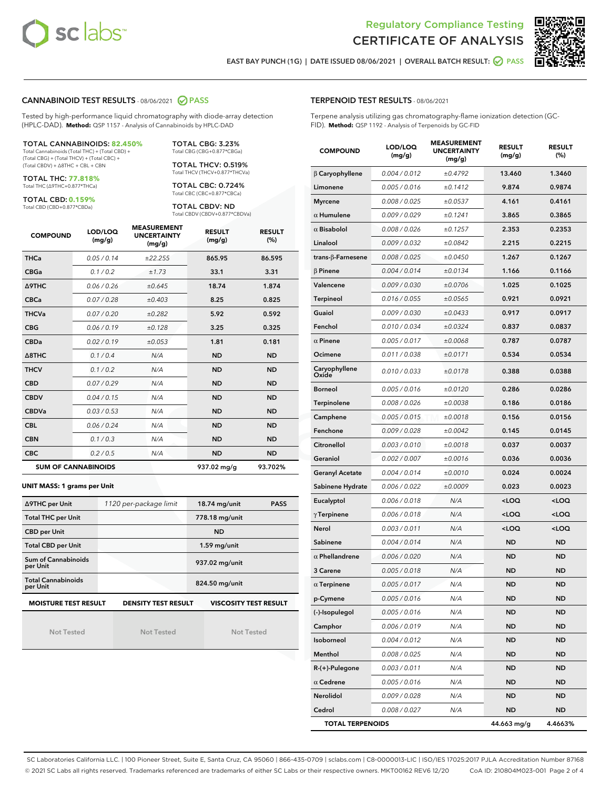



EAST BAY PUNCH (1G) | DATE ISSUED 08/06/2021 | OVERALL BATCH RESULT:  $\bigcirc$  PASS

### CANNABINOID TEST RESULTS - 08/06/2021 2 PASS

Tested by high-performance liquid chromatography with diode-array detection (HPLC-DAD). **Method:** QSP 1157 - Analysis of Cannabinoids by HPLC-DAD

TOTAL CANNABINOIDS: **82.450%** Total Cannabinoids (Total THC) + (Total CBD) +

(Total CBG) + (Total THCV) + (Total CBC) + (Total CBDV) + ∆8THC + CBL + CBN

TOTAL THC: **77.818%** Total THC (∆9THC+0.877\*THCa)

TOTAL CBD: **0.159%**

Total CBD (CBD+0.877\*CBDa)

TOTAL CBG: 3.23% Total CBG (CBG+0.877\*CBGa) TOTAL THCV: 0.519%

Total THCV (THCV+0.877\*THCVa)

TOTAL CBC: 0.724% Total CBC (CBC+0.877\*CBCa)

TOTAL CBDV: ND Total CBDV (CBDV+0.877\*CBDVa)

| <b>COMPOUND</b>  | LOD/LOQ<br>(mg/g)          | <b>MEASUREMENT</b><br><b>UNCERTAINTY</b><br>(mg/g) | <b>RESULT</b><br>(mg/g) | <b>RESULT</b><br>(% ) |
|------------------|----------------------------|----------------------------------------------------|-------------------------|-----------------------|
| <b>THCa</b>      | 0.05/0.14                  | ±22.255                                            | 865.95                  | 86.595                |
| <b>CBGa</b>      | 0.1 / 0.2                  | ±1.73                                              | 33.1                    | 3.31                  |
| <b>A9THC</b>     | 0.06/0.26                  | ±0.645                                             | 18.74                   | 1.874                 |
| <b>CBCa</b>      | 0.07 / 0.28                | ±0.403                                             | 8.25                    | 0.825                 |
| <b>THCVa</b>     | 0.07/0.20                  | ±0.282                                             | 5.92                    | 0.592                 |
| <b>CBG</b>       | 0.06/0.19                  | ±0.128                                             | 3.25                    | 0.325                 |
| <b>CBDa</b>      | 0.02/0.19                  | ±0.053                                             | 1.81                    | 0.181                 |
| $\triangle$ 8THC | 0.1/0.4                    | N/A                                                | <b>ND</b>               | <b>ND</b>             |
| <b>THCV</b>      | 0.1/0.2                    | N/A                                                | <b>ND</b>               | <b>ND</b>             |
| <b>CBD</b>       | 0.07/0.29                  | N/A                                                | <b>ND</b>               | <b>ND</b>             |
| <b>CBDV</b>      | 0.04 / 0.15                | N/A                                                | <b>ND</b>               | <b>ND</b>             |
| <b>CBDVa</b>     | 0.03/0.53                  | N/A                                                | <b>ND</b>               | <b>ND</b>             |
| <b>CBL</b>       | 0.06 / 0.24                | N/A                                                | <b>ND</b>               | <b>ND</b>             |
| <b>CBN</b>       | 0.1/0.3                    | N/A                                                | <b>ND</b>               | <b>ND</b>             |
| <b>CBC</b>       | 0.2 / 0.5                  | N/A                                                | <b>ND</b>               | <b>ND</b>             |
|                  | <b>SUM OF CANNABINOIDS</b> |                                                    | 937.02 mg/g             | 93.702%               |

**UNIT MASS: 1 grams per Unit**

| ∆9THC per Unit                        | 1120 per-package limit                                                                    | 18.74 mg/unit<br><b>PASS</b> |  |  |  |  |
|---------------------------------------|-------------------------------------------------------------------------------------------|------------------------------|--|--|--|--|
| <b>Total THC per Unit</b>             |                                                                                           | 778.18 mg/unit               |  |  |  |  |
| <b>CBD per Unit</b>                   |                                                                                           | <b>ND</b>                    |  |  |  |  |
| <b>Total CBD per Unit</b>             |                                                                                           | $1.59$ mg/unit               |  |  |  |  |
| Sum of Cannabinoids<br>per Unit       |                                                                                           | 937.02 mg/unit               |  |  |  |  |
| <b>Total Cannabinoids</b><br>per Unit |                                                                                           | 824.50 mg/unit               |  |  |  |  |
|                                       | <b>MOISTURE TEST RESULT</b><br><b>VISCOSITY TEST RESULT</b><br><b>DENSITY TEST RESULT</b> |                              |  |  |  |  |

Not Tested

Not Tested

Not Tested

#### TERPENOID TEST RESULTS - 08/06/2021

Terpene analysis utilizing gas chromatography-flame ionization detection (GC-FID). **Method:** QSP 1192 - Analysis of Terpenoids by GC-FID

| <b>COMPOUND</b>         | LOD/LOQ<br>(mg/g) | <b>MEASUREMENT</b><br><b>UNCERTAINTY</b><br>(mg/g) | <b>RESULT</b><br>(mg/g)                         | <b>RESULT</b><br>(%) |
|-------------------------|-------------------|----------------------------------------------------|-------------------------------------------------|----------------------|
| $\beta$ Caryophyllene   | 0.004 / 0.012     | ±0.4792                                            | 13.460                                          | 1.3460               |
| Limonene                | 0.005 / 0.016     | ±0.1412                                            | 9.874                                           | 0.9874               |
| <b>Myrcene</b>          | 0.008 / 0.025     | ±0.0537                                            | 4.161                                           | 0.4161               |
| $\alpha$ Humulene       | 0.009 / 0.029     | ±0.1241                                            | 3.865                                           | 0.3865               |
| $\alpha$ Bisabolol      | 0.008 / 0.026     | ±0.1257                                            | 2.353                                           | 0.2353               |
| Linalool                | 0.009 / 0.032     | ±0.0842                                            | 2.215                                           | 0.2215               |
| trans-ß-Farnesene       | 0.008 / 0.025     | ±0.0450                                            | 1.267                                           | 0.1267               |
| $\beta$ Pinene          | 0.004 / 0.014     | ±0.0134                                            | 1.166                                           | 0.1166               |
| Valencene               | 0.009 / 0.030     | ±0.0706                                            | 1.025                                           | 0.1025               |
| Terpineol               | 0.016 / 0.055     | ±0.0565                                            | 0.921                                           | 0.0921               |
| Guaiol                  | 0.009 / 0.030     | ±0.0433                                            | 0.917                                           | 0.0917               |
| Fenchol                 | 0.010 / 0.034     | ±0.0324                                            | 0.837                                           | 0.0837               |
| $\alpha$ Pinene         | 0.005 / 0.017     | ±0.0068                                            | 0.787                                           | 0.0787               |
| Ocimene                 | 0.011 / 0.038     | ±0.0171                                            | 0.534                                           | 0.0534               |
| Caryophyllene<br>Oxide  | 0.010 / 0.033     | ±0.0178                                            | 0.388                                           | 0.0388               |
| <b>Borneol</b>          | 0.005 / 0.016     | ±0.0120                                            | 0.286                                           | 0.0286               |
| Terpinolene             | 0.008 / 0.026     | ±0.0038                                            | 0.186                                           | 0.0186               |
| Camphene                | 0.005 / 0.015     | ±0.0018                                            | 0.156                                           | 0.0156               |
| Fenchone                | 0.009 / 0.028     | ±0.0042                                            | 0.145                                           | 0.0145               |
| Citronellol             | 0.003 / 0.010     | ±0.0018                                            | 0.037                                           | 0.0037               |
| Geraniol                | 0.002 / 0.007     | ±0.0016                                            | 0.036                                           | 0.0036               |
| <b>Geranyl Acetate</b>  | 0.004 / 0.014     | ±0.0010                                            | 0.024                                           | 0.0024               |
| Sabinene Hydrate        | 0.006 / 0.022     | ±0.0009                                            | 0.023                                           | 0.0023               |
| Eucalyptol              | 0.006 / 0.018     | N/A                                                | <loq< th=""><th><loq< th=""></loq<></th></loq<> | <loq< th=""></loq<>  |
| $\gamma$ Terpinene      | 0.006 / 0.018     | N/A                                                | <loq< th=""><th><loq< th=""></loq<></th></loq<> | <loq< th=""></loq<>  |
| Nerol                   | 0.003 / 0.011     | N/A                                                | <loq< th=""><th><loq< th=""></loq<></th></loq<> | <loq< th=""></loq<>  |
| Sabinene                | 0.004 / 0.014     | N/A                                                | <b>ND</b>                                       | <b>ND</b>            |
| $\alpha$ Phellandrene   | 0.006 / 0.020     | N/A                                                | <b>ND</b>                                       | <b>ND</b>            |
| 3 Carene                | 0.005 / 0.018     | N/A                                                | <b>ND</b>                                       | ND                   |
| $\alpha$ Terpinene      | 0.005 / 0.017     | N/A                                                | <b>ND</b>                                       | <b>ND</b>            |
| p-Cymene                | 0.005 / 0.016     | N/A                                                | ND                                              | ND                   |
| (-)-Isopulegol          | 0.005 / 0.016     | N/A                                                | ND                                              | ND                   |
| Camphor                 | 0.006 / 0.019     | N/A                                                | ND                                              | <b>ND</b>            |
| Isoborneol              | 0.004 / 0.012     | N/A                                                | ND                                              | ND                   |
| Menthol                 | 0.008 / 0.025     | N/A                                                | ND                                              | ND                   |
| R-(+)-Pulegone          | 0.003 / 0.011     | N/A                                                | ND                                              | ND                   |
| $\alpha$ Cedrene        | 0.005 / 0.016     | N/A                                                | ND                                              | ND                   |
| Nerolidol               | 0.009 / 0.028     | N/A                                                | ND                                              | ND                   |
| Cedrol                  | 0.008 / 0.027     | N/A                                                | ND                                              | ND                   |
| <b>TOTAL TERPENOIDS</b> |                   |                                                    | 44.663 mg/g                                     | 4.4663%              |

SC Laboratories California LLC. | 100 Pioneer Street, Suite E, Santa Cruz, CA 95060 | 866-435-0709 | sclabs.com | C8-0000013-LIC | ISO/IES 17025:2017 PJLA Accreditation Number 87168 © 2021 SC Labs all rights reserved. Trademarks referenced are trademarks of either SC Labs or their respective owners. MKT00162 REV6 12/20 CoA ID: 210804M023-001 Page 2 of 4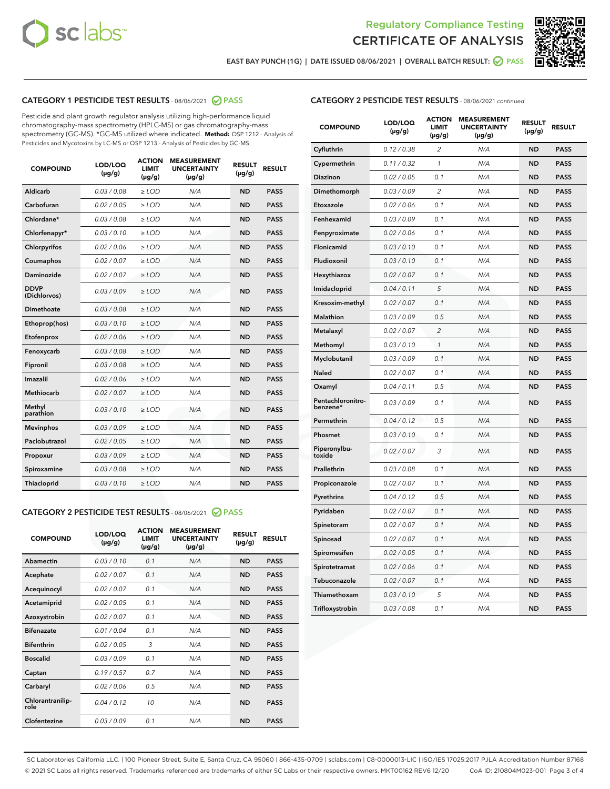



EAST BAY PUNCH (1G) | DATE ISSUED 08/06/2021 | OVERALL BATCH RESULT: @ PASS

# CATEGORY 1 PESTICIDE TEST RESULTS - 08/06/2021 2 PASS

Pesticide and plant growth regulator analysis utilizing high-performance liquid chromatography-mass spectrometry (HPLC-MS) or gas chromatography-mass spectrometry (GC-MS). \*GC-MS utilized where indicated. **Method:** QSP 1212 - Analysis of Pesticides and Mycotoxins by LC-MS or QSP 1213 - Analysis of Pesticides by GC-MS

| <b>COMPOUND</b>             | LOD/LOQ<br>$(\mu g/g)$ | <b>ACTION</b><br><b>LIMIT</b><br>$(\mu g/g)$ | <b>MEASUREMENT</b><br><b>UNCERTAINTY</b><br>$(\mu g/g)$ | <b>RESULT</b><br>$(\mu g/g)$ | <b>RESULT</b> |
|-----------------------------|------------------------|----------------------------------------------|---------------------------------------------------------|------------------------------|---------------|
| Aldicarb                    | 0.03 / 0.08            | $\ge$ LOD                                    | N/A                                                     | <b>ND</b>                    | <b>PASS</b>   |
| Carbofuran                  | 0.02/0.05              | $>$ LOD                                      | N/A                                                     | <b>ND</b>                    | <b>PASS</b>   |
| Chlordane*                  | 0.03 / 0.08            | $\ge$ LOD                                    | N/A                                                     | <b>ND</b>                    | <b>PASS</b>   |
| Chlorfenapyr*               | 0.03/0.10              | $\ge$ LOD                                    | N/A                                                     | <b>ND</b>                    | <b>PASS</b>   |
| Chlorpyrifos                | 0.02 / 0.06            | $\ge$ LOD                                    | N/A                                                     | <b>ND</b>                    | <b>PASS</b>   |
| Coumaphos                   | 0.02 / 0.07            | $>$ LOD                                      | N/A                                                     | <b>ND</b>                    | <b>PASS</b>   |
| Daminozide                  | 0.02 / 0.07            | $\ge$ LOD                                    | N/A                                                     | <b>ND</b>                    | <b>PASS</b>   |
| <b>DDVP</b><br>(Dichlorvos) | 0.03/0.09              | $\ge$ LOD                                    | N/A                                                     | <b>ND</b>                    | <b>PASS</b>   |
| <b>Dimethoate</b>           | 0.03 / 0.08            | $\ge$ LOD                                    | N/A                                                     | <b>ND</b>                    | <b>PASS</b>   |
| Ethoprop(hos)               | 0.03/0.10              | $>$ LOD                                      | N/A                                                     | <b>ND</b>                    | <b>PASS</b>   |
| Etofenprox                  | 0.02 / 0.06            | $\ge$ LOD                                    | N/A                                                     | <b>ND</b>                    | <b>PASS</b>   |
| Fenoxycarb                  | 0.03 / 0.08            | $>$ LOD                                      | N/A                                                     | <b>ND</b>                    | <b>PASS</b>   |
| Fipronil                    | 0.03 / 0.08            | $\ge$ LOD                                    | N/A                                                     | <b>ND</b>                    | <b>PASS</b>   |
| Imazalil                    | 0.02 / 0.06            | $\ge$ LOD                                    | N/A                                                     | <b>ND</b>                    | <b>PASS</b>   |
| <b>Methiocarb</b>           | 0.02 / 0.07            | $\ge$ LOD                                    | N/A                                                     | <b>ND</b>                    | <b>PASS</b>   |
| Methyl<br>parathion         | 0.03/0.10              | $>$ LOD                                      | N/A                                                     | <b>ND</b>                    | <b>PASS</b>   |
| <b>Mevinphos</b>            | 0.03/0.09              | $>$ LOD                                      | N/A                                                     | <b>ND</b>                    | <b>PASS</b>   |
| Paclobutrazol               | 0.02 / 0.05            | $\ge$ LOD                                    | N/A                                                     | <b>ND</b>                    | <b>PASS</b>   |
| Propoxur                    | 0.03/0.09              | $\ge$ LOD                                    | N/A                                                     | <b>ND</b>                    | <b>PASS</b>   |
| Spiroxamine                 | 0.03 / 0.08            | $\ge$ LOD                                    | N/A                                                     | <b>ND</b>                    | <b>PASS</b>   |
| <b>Thiacloprid</b>          | 0.03/0.10              | $\ge$ LOD                                    | N/A                                                     | <b>ND</b>                    | <b>PASS</b>   |
|                             |                        |                                              |                                                         |                              |               |

# CATEGORY 2 PESTICIDE TEST RESULTS - 08/06/2021 @ PASS

| <b>COMPOUND</b>          | LOD/LOO<br>$(\mu g/g)$ | <b>ACTION</b><br>LIMIT<br>$(\mu g/g)$ | <b>MEASUREMENT</b><br><b>UNCERTAINTY</b><br>$(\mu g/g)$ | <b>RESULT</b><br>$(\mu g/g)$ | <b>RESULT</b> |  |
|--------------------------|------------------------|---------------------------------------|---------------------------------------------------------|------------------------------|---------------|--|
| Abamectin                | 0.03/0.10              | 0.1                                   | N/A                                                     | <b>ND</b>                    | <b>PASS</b>   |  |
| Acephate                 | 0.02/0.07              | 0.1                                   | N/A                                                     | <b>ND</b>                    | <b>PASS</b>   |  |
| Acequinocyl              | 0.02/0.07              | 0.1                                   | N/A                                                     | <b>ND</b>                    | <b>PASS</b>   |  |
| Acetamiprid              | 0.02/0.05              | 0.1                                   | N/A                                                     | <b>ND</b>                    | <b>PASS</b>   |  |
| Azoxystrobin             | 0.02/0.07              | 0.1                                   | N/A                                                     | <b>ND</b>                    | <b>PASS</b>   |  |
| <b>Bifenazate</b>        | 0.01/0.04              | 0.1                                   | N/A                                                     | <b>ND</b>                    | <b>PASS</b>   |  |
| <b>Bifenthrin</b>        | 0.02/0.05              | 3                                     | N/A                                                     | <b>ND</b>                    | <b>PASS</b>   |  |
| <b>Boscalid</b>          | 0.03/0.09              | 0.1                                   | N/A                                                     | <b>ND</b>                    | <b>PASS</b>   |  |
| Captan                   | 0.19/0.57              | 0.7                                   | N/A                                                     | <b>ND</b>                    | <b>PASS</b>   |  |
| Carbaryl                 | 0.02/0.06              | 0.5                                   | N/A                                                     | <b>ND</b>                    | <b>PASS</b>   |  |
| Chlorantranilip-<br>role | 0.04/0.12              | 10                                    | N/A                                                     | <b>ND</b>                    | <b>PASS</b>   |  |
| Clofentezine             | 0.03/0.09              | 0.1                                   | N/A                                                     | <b>ND</b>                    | <b>PASS</b>   |  |

| <b>CATEGORY 2 PESTICIDE TEST RESULTS</b> - 08/06/2021 continued |
|-----------------------------------------------------------------|
|-----------------------------------------------------------------|

| <b>COMPOUND</b>               | LOD/LOQ<br>(µg/g) | <b>ACTION</b><br>LIMIT<br>$(\mu g/g)$ | <b>MEASUREMENT</b><br><b>UNCERTAINTY</b><br>$(\mu g/g)$ | <b>RESULT</b><br>(µg/g) | <b>RESULT</b> |
|-------------------------------|-------------------|---------------------------------------|---------------------------------------------------------|-------------------------|---------------|
| Cyfluthrin                    | 0.12 / 0.38       | 2                                     | N/A                                                     | <b>ND</b>               | <b>PASS</b>   |
| Cypermethrin                  | 0.11 / 0.32       | $\mathcal{I}$                         | N/A                                                     | <b>ND</b>               | <b>PASS</b>   |
| Diazinon                      | 0.02 / 0.05       | 0.1                                   | N/A                                                     | <b>ND</b>               | <b>PASS</b>   |
| Dimethomorph                  | 0.03 / 0.09       | 2                                     | N/A                                                     | <b>ND</b>               | <b>PASS</b>   |
| Etoxazole                     | 0.02 / 0.06       | 0.1                                   | N/A                                                     | <b>ND</b>               | <b>PASS</b>   |
| Fenhexamid                    | 0.03 / 0.09       | 0.1                                   | N/A                                                     | <b>ND</b>               | <b>PASS</b>   |
| Fenpyroximate                 | 0.02 / 0.06       | 0.1                                   | N/A                                                     | <b>ND</b>               | <b>PASS</b>   |
| Flonicamid                    | 0.03 / 0.10       | 0.1                                   | N/A                                                     | <b>ND</b>               | <b>PASS</b>   |
| Fludioxonil                   | 0.03 / 0.10       | 0.1                                   | N/A                                                     | <b>ND</b>               | <b>PASS</b>   |
| Hexythiazox                   | 0.02 / 0.07       | 0.1                                   | N/A                                                     | <b>ND</b>               | <b>PASS</b>   |
| Imidacloprid                  | 0.04 / 0.11       | 5                                     | N/A                                                     | <b>ND</b>               | <b>PASS</b>   |
| Kresoxim-methyl               | 0.02 / 0.07       | 0.1                                   | N/A                                                     | <b>ND</b>               | <b>PASS</b>   |
| Malathion                     | 0.03 / 0.09       | 0.5                                   | N/A                                                     | <b>ND</b>               | <b>PASS</b>   |
| Metalaxyl                     | 0.02 / 0.07       | $\overline{c}$                        | N/A                                                     | <b>ND</b>               | <b>PASS</b>   |
| Methomyl                      | 0.03 / 0.10       | $\mathcal{I}$                         | N/A                                                     | <b>ND</b>               | <b>PASS</b>   |
| Myclobutanil                  | 0.03 / 0.09       | 0.1                                   | N/A                                                     | <b>ND</b>               | <b>PASS</b>   |
| Naled                         | 0.02 / 0.07       | 0.1                                   | N/A                                                     | <b>ND</b>               | <b>PASS</b>   |
| Oxamyl                        | 0.04 / 0.11       | 0.5                                   | N/A                                                     | <b>ND</b>               | <b>PASS</b>   |
| Pentachloronitro-<br>benzene* | 0.03/0.09         | 0.1                                   | N/A                                                     | <b>ND</b>               | <b>PASS</b>   |
| Permethrin                    | 0.04 / 0.12       | 0.5                                   | N/A                                                     | <b>ND</b>               | <b>PASS</b>   |
| Phosmet                       | 0.03 / 0.10       | 0.1                                   | N/A                                                     | <b>ND</b>               | <b>PASS</b>   |
| Piperonylbu-<br>toxide        | 0.02 / 0.07       | 3                                     | N/A                                                     | <b>ND</b>               | <b>PASS</b>   |
| Prallethrin                   | 0.03 / 0.08       | 0.1                                   | N/A                                                     | <b>ND</b>               | <b>PASS</b>   |
| Propiconazole                 | 0.02 / 0.07       | 0.1                                   | N/A                                                     | <b>ND</b>               | <b>PASS</b>   |
| Pyrethrins                    | 0.04 / 0.12       | 0.5                                   | N/A                                                     | <b>ND</b>               | <b>PASS</b>   |
| Pyridaben                     | 0.02 / 0.07       | 0.1                                   | N/A                                                     | <b>ND</b>               | <b>PASS</b>   |
| Spinetoram                    | 0.02 / 0.07       | 0.1                                   | N/A                                                     | <b>ND</b>               | <b>PASS</b>   |
| Spinosad                      | 0.02 / 0.07       | 0.1                                   | N/A                                                     | <b>ND</b>               | <b>PASS</b>   |
| Spiromesifen                  | 0.02 / 0.05       | 0.1                                   | N/A                                                     | <b>ND</b>               | <b>PASS</b>   |
| Spirotetramat                 | 0.02 / 0.06       | 0.1                                   | N/A                                                     | <b>ND</b>               | <b>PASS</b>   |
| Tebuconazole                  | 0.02 / 0.07       | 0.1                                   | N/A                                                     | <b>ND</b>               | <b>PASS</b>   |
| Thiamethoxam                  | 0.03 / 0.10       | 5                                     | N/A                                                     | <b>ND</b>               | <b>PASS</b>   |
| Trifloxystrobin               | 0.03 / 0.08       | 0.1                                   | N/A                                                     | <b>ND</b>               | <b>PASS</b>   |

SC Laboratories California LLC. | 100 Pioneer Street, Suite E, Santa Cruz, CA 95060 | 866-435-0709 | sclabs.com | C8-0000013-LIC | ISO/IES 17025:2017 PJLA Accreditation Number 87168 © 2021 SC Labs all rights reserved. Trademarks referenced are trademarks of either SC Labs or their respective owners. MKT00162 REV6 12/20 CoA ID: 210804M023-001 Page 3 of 4